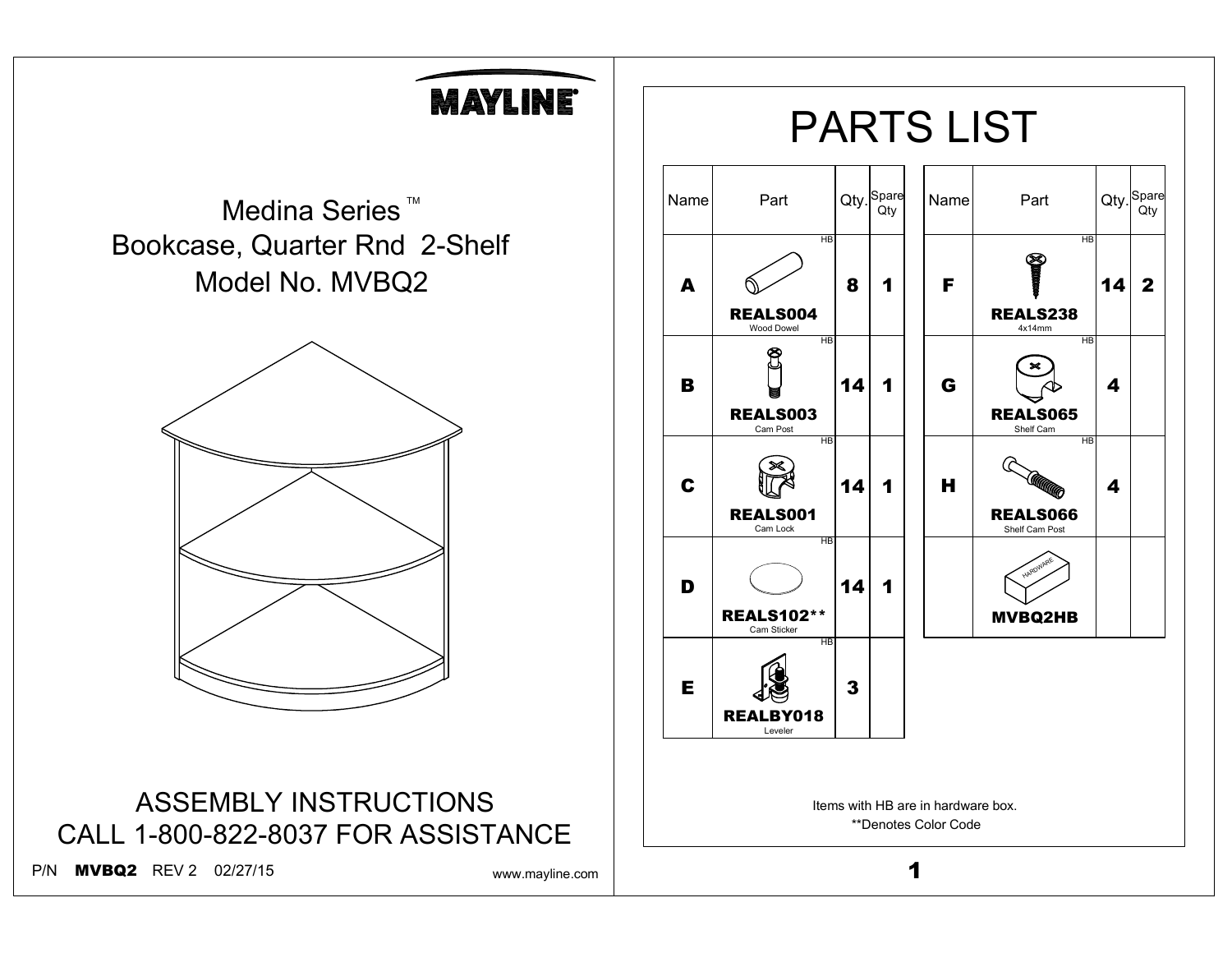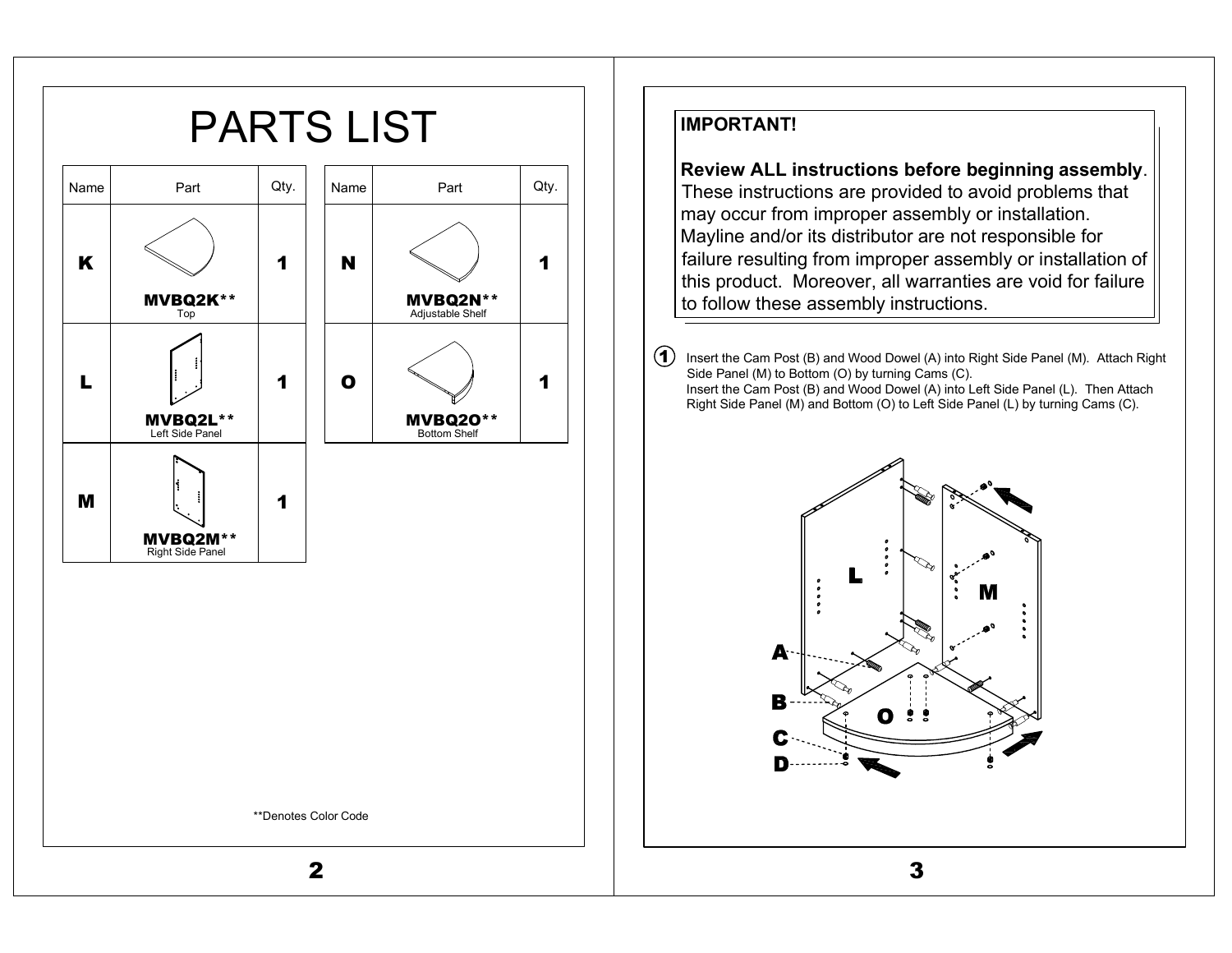

## **IMPORTANT!**

**Review ALL instructions before beginning assembly**. These instructions are provided to avoid problems that may occur from improper assembly or installation. Mayline and/or its distributor are not responsible for failure resulting from improper assembly or installation of this product. Moreover, all warranties are void for failure to follow these assembly instructions.

 $(1)$  Insert the Cam Post (B) and Wood Dowel (A) into Right Side Panel (M). Attach Right Side Panel (M) to Bottom (O) by turning Cams (C). Insert the Cam Post (B) and Wood Dowel (A) into Left Side Panel (L). Then Attach Right Side Panel (M) and Bottom (O) to Left Side Panel (L) by turning Cams (C).